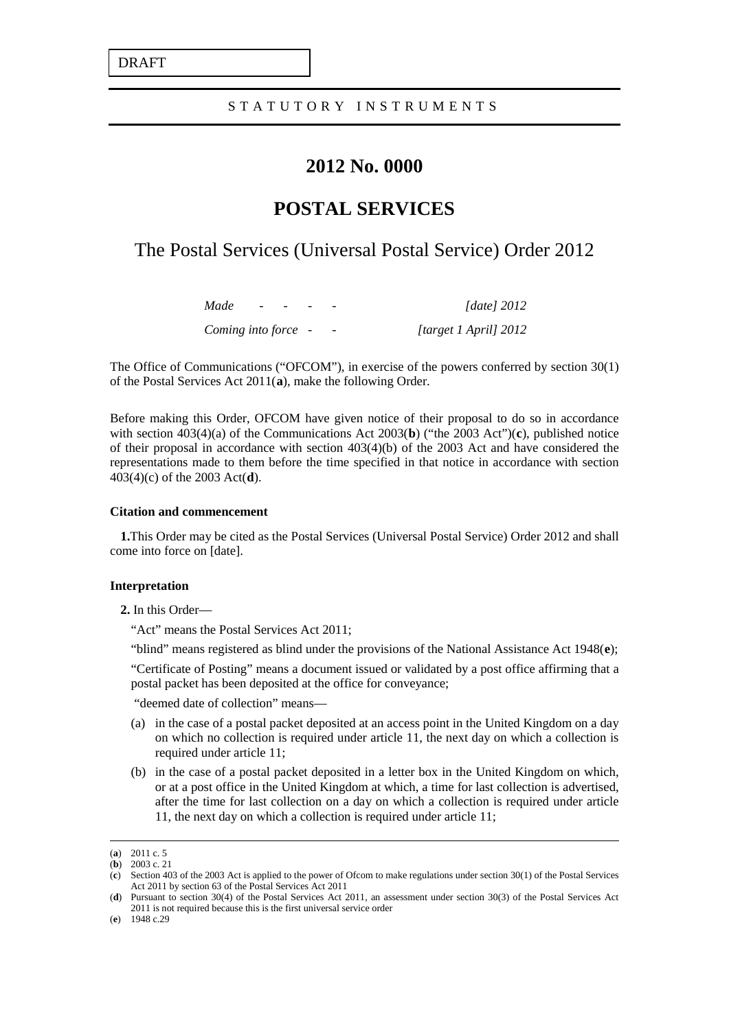DRAFT

## STATUTORY INSTRUMENT S

# **2012 No. 0000**

# **POSTAL SERVICES**

# The Postal Services (Universal Postal Service) Order 2012

*Made - - - - [date] 2012 Coming into force - - [target 1 April] 2012*

The Office of Communications ("OFCOM"), in exercise of the powers conferred by section 30(1) of the Postal Services Act 2011(**[a](#page-0-0)** ), make the following Order.

Before making this Order, OFCOM have given notice of their proposal to do so in accordance with section 403(4)(a) of the Communications Act 2003( **[b](#page-0-1)**) ("the 2003 Act")(**[c](#page-0-2)**), published notice of their proposal in accordance with section  $403(4)(b)$  of the 2003 Act and have considered the representations made to them before the time specified in that notice in accordance with section 403(4)(c) of the 2003 Act(**[d](#page-0-3)** ).

#### **Citation and commencement**

**1.**This Order may be cited as the Postal Services (Universal Postal Service) Order 2012 and shall come into force on [date].

#### **Interpretation**

**2.** In this Order—

"Act" means the Postal Services Act 2011;

"blind" means registered as blind under the provisions of the National Assistance Act 1948(**[e](#page-0-4)** );

"Certificate of Posting" means a document issued or validated by a post office affirming that a postal packet has been deposited at the office for conveyance;

"deemed date of collection" means—

- (a) in the case of a postal packet deposited at an access point in the United Kingdom on a day on which no collection is required under article 11, the next day on which a collection is required under article 11;
- (b) in the case of a postal packet deposited in a letter box in the United Kingdom on which, or at a post office in the United Kingdom at which, a time for last collection is advertised, after the time for last collection on a day on which a collection is required under article 11, the next day on which a collection is required under article 11;

<span id="page-0-0"></span> <sup>(</sup>**<sup>a</sup>**) 2011 c. 5

<sup>(</sup>**b**) 2003 c. 21

<span id="page-0-2"></span><span id="page-0-1"></span><sup>(</sup>**c**) Section 403 of the 2003 Act is applied to the power of Ofcom to make regulations under section 30(1) of the Postal Services Act 2011 by section 63 of the Postal Services Act 2011

<span id="page-0-3"></span><sup>(</sup>**d**) Pursuant to section 30(4) of the Postal Services Act 2011, an assessment under section 30(3) of the Postal Services Act 2011 is not required because this is the first universal service order

<span id="page-0-4"></span><sup>(</sup>**e**) 1948 c.29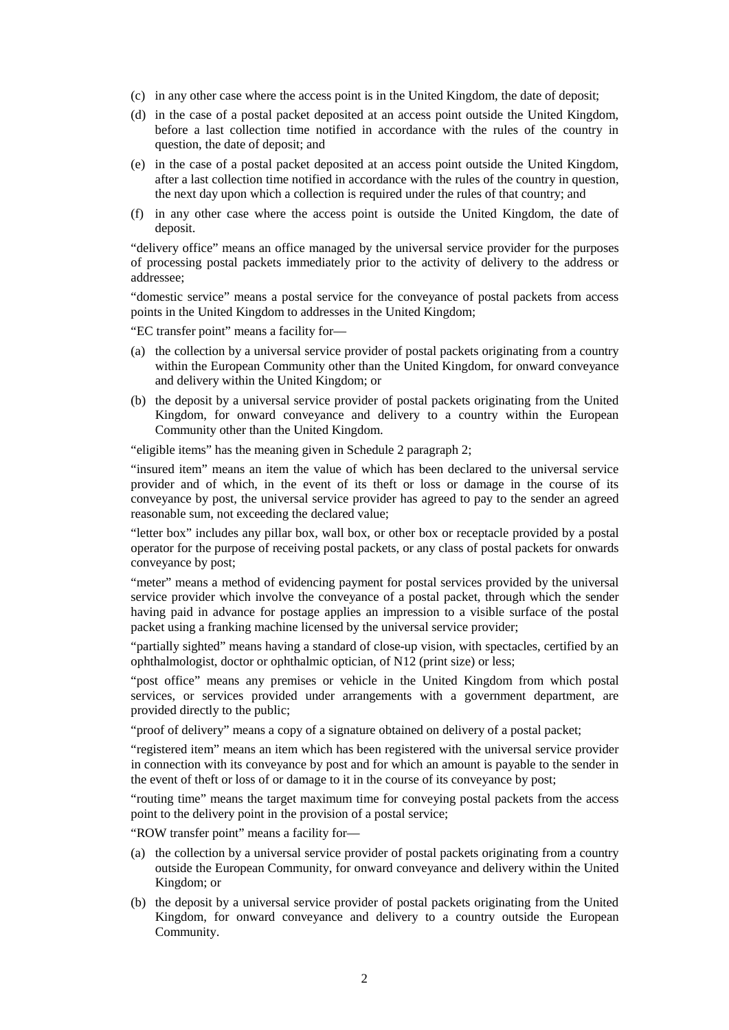- (c) in any other case where the access point is in the United Kingdom, the date of deposit;
- (d) in the case of a postal packet deposited at an access point outside the United Kingdom, before a last collection time notified in accordance with the rules of the country in question, the date of deposit; and
- (e) in the case of a postal packet deposited at an access point outside the United Kingdom, after a last collection time notified in accordance with the rules of the country in question, the next day upon which a collection is required under the rules of that country; and
- (f) in any other case where the access point is outside the United Kingdom, the date of deposit.

"delivery office" means an office managed by the universal service provider for the purposes of processing postal packets immediately prior to the activity of delivery to the address or addressee;

"domestic service" means a postal service for the conveyance of postal packets from access points in the United Kingdom to addresses in the United Kingdom;

"EC transfer point" means a facility for—

- (a) the collection by a universal service provider of postal packets originating from a country within the European Community other than the United Kingdom, for onward conveyance and delivery within the United Kingdom; or
- (b) the deposit by a universal service provider of postal packets originating from the United Kingdom, for onward conveyance and delivery to a country within the European Community other than the United Kingdom.

"eligible items" has the meaning given in Schedule 2 paragraph 2;

"insured item" means an item the value of which has been declared to the universal service provider and of which, in the event of its theft or loss or damage in the course of its conveyance by post, the universal service provider has agreed to pay to the sender an agreed reasonable sum, not exceeding the declared value;

"letter box" includes any pillar box, wall box, or other box or receptacle provided by a postal operator for the purpose of receiving postal packets, or any class of postal packets for onwards conveyance by post;

"meter" means a method of evidencing payment for postal services provided by the universal service provider which involve the conveyance of a postal packet, through which the sender having paid in advance for postage applies an impression to a visible surface of the postal packet using a franking machine licensed by the universal service provider;

"partially sighted" means having a standard of close-up vision, with spectacles, certified by an ophthalmologist, doctor or ophthalmic optician, of N12 (print size) or less;

"post office" means any premises or vehicle in the United Kingdom from which postal services, or services provided under arrangements with a government department, are provided directly to the public;

"proof of delivery" means a copy of a signature obtained on delivery of a postal packet;

"registered item" means an item which has been registered with the universal service provider in connection with its conveyance by post and for which an amount is payable to the sender in the event of theft or loss of or damage to it in the course of its conveyance by post;

"routing time" means the target maximum time for conveying postal packets from the access point to the delivery point in the provision of a postal service;

"ROW transfer point" means a facility for—

- (a) the collection by a universal service provider of postal packets originating from a country outside the European Community, for onward conveyance and delivery within the United Kingdom; or
- (b) the deposit by a universal service provider of postal packets originating from the United Kingdom, for onward conveyance and delivery to a country outside the European Community.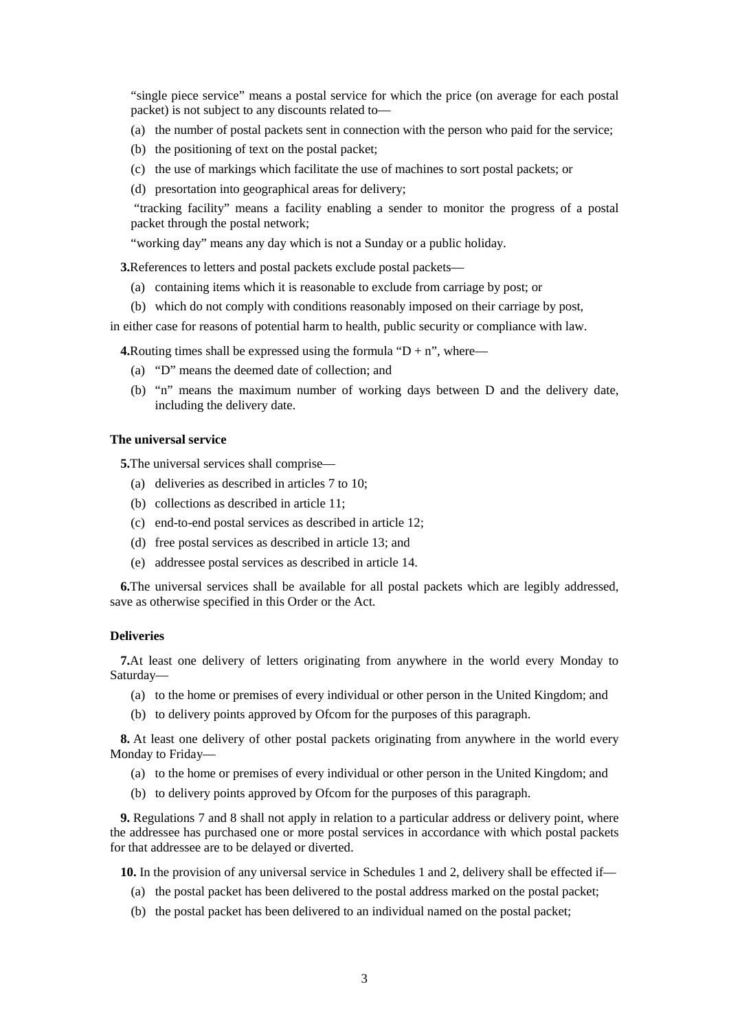"single piece service" means a postal service for which the price (on average for each postal packet) is not subject to any discounts related to—

- (a) the number of postal packets sent in connection with the person who paid for the service;
- (b) the positioning of text on the postal packet;
- (c) the use of markings which facilitate the use of machines to sort postal packets; or
- (d) presortation into geographical areas for delivery;

"tracking facility" means a facility enabling a sender to monitor the progress of a postal packet through the postal network;

"working day" means any day which is not a Sunday or a public holiday.

**3.**References to letters and postal packets exclude postal packets—

- (a) containing items which it is reasonable to exclude from carriage by post; or
- (b) which do not comply with conditions reasonably imposed on their carriage by post,

in either case for reasons of potential harm to health, public security or compliance with law.

**4.**Routing times shall be expressed using the formula " $D + n$ ", where—

- (a) "D" means the deemed date of collection; and
- (b) "n" means the maximum number of working days between D and the delivery date, including the delivery date.

#### **The universal service**

**5.**The universal services shall comprise—

- (a) deliveries as described in articles 7 to 10;
- (b) collections as described in article 11;
- (c) end-to-end postal services as described in article 12;
- (d) free postal services as described in article 13; and
- (e) addressee postal services as described in article 14.

**6.**The universal services shall be available for all postal packets which are legibly addressed, save as otherwise specified in this Order or the Act.

### **Deliveries**

**7.**At least one delivery of letters originating from anywhere in the world every Monday to Saturday—

- (a) to the home or premises of every individual or other person in the United Kingdom; and
- (b) to delivery points approved by Ofcom for the purposes of this paragraph.

**8.** At least one delivery of other postal packets originating from anywhere in the world every Monday to Friday—

- (a) to the home or premises of every individual or other person in the United Kingdom; and
- (b) to delivery points approved by Ofcom for the purposes of this paragraph.

**9.** Regulations 7 and 8 shall not apply in relation to a particular address or delivery point, where the addressee has purchased one or more postal services in accordance with which postal packets for that addressee are to be delayed or diverted.

**10.** In the provision of any universal service in Schedules 1 and 2, delivery shall be effected if—

- (a) the postal packet has been delivered to the postal address marked on the postal packet;
- (b) the postal packet has been delivered to an individual named on the postal packet;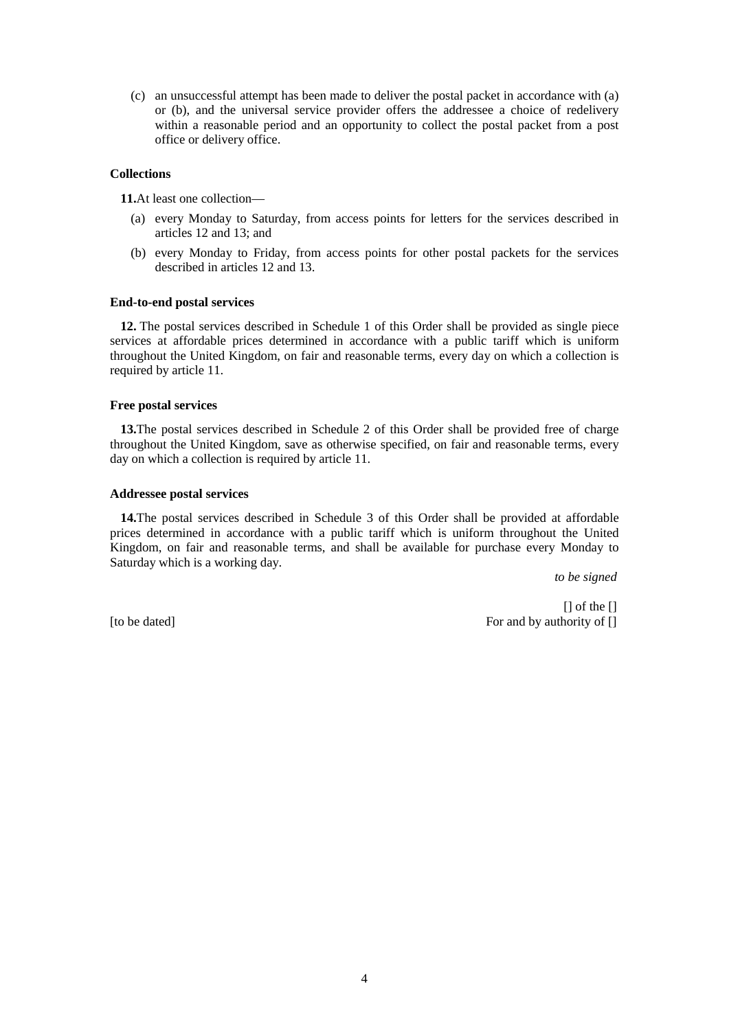(c) an unsuccessful attempt has been made to deliver the postal packet in accordance with (a) or (b), and the universal service provider offers the addressee a choice of redelivery within a reasonable period and an opportunity to collect the postal packet from a post office or delivery office.

### **Collections**

**11.**At least one collection—

- (a) every Monday to Saturday, from access points for letters for the services described in articles 12 and 13; and
- (b) every Monday to Friday, from access points for other postal packets for the services described in articles 12 and 13.

### **End-to-end postal services**

**12.** The postal services described in Schedule 1 of this Order shall be provided as single piece services at affordable prices determined in accordance with a public tariff which is uniform throughout the United Kingdom, on fair and reasonable terms, every day on which a collection is required by article 11.

## **Free postal services**

**13.**The postal services described in Schedule 2 of this Order shall be provided free of charge throughout the United Kingdom, save as otherwise specified, on fair and reasonable terms, every day on which a collection is required by article 11.

### **Addressee postal services**

**14.**The postal services described in Schedule 3 of this Order shall be provided at affordable prices determined in accordance with a public tariff which is uniform throughout the United Kingdom, on fair and reasonable terms, and shall be available for purchase every Monday to Saturday which is a working day.

*to be signed*

[] of the [] [to be dated] For and by authority of []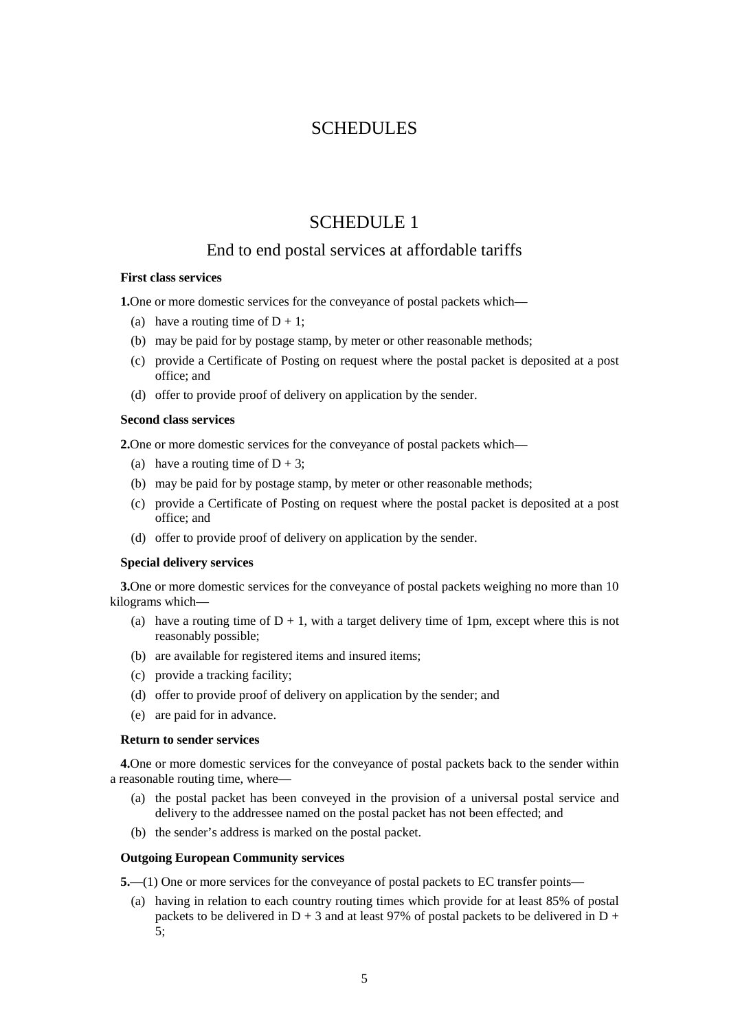## **SCHEDULES**

# SCHEDULE 1

## End to end postal services at affordable tariffs

## **First class services**

**1.**One or more domestic services for the conveyance of postal packets which—

- (a) have a routing time of  $D + 1$ ;
- (b) may be paid for by postage stamp, by meter or other reasonable methods;
- (c) provide a Certificate of Posting on request where the postal packet is deposited at a post office; and
- (d) offer to provide proof of delivery on application by the sender.

#### **Second class services**

**2.**One or more domestic services for the conveyance of postal packets which—

- (a) have a routing time of  $D + 3$ ;
- (b) may be paid for by postage stamp, by meter or other reasonable methods;
- (c) provide a Certificate of Posting on request where the postal packet is deposited at a post office; and
- (d) offer to provide proof of delivery on application by the sender.

#### **Special delivery services**

**3.**One or more domestic services for the conveyance of postal packets weighing no more than 10 kilograms which—

- (a) have a routing time of  $D + 1$ , with a target delivery time of 1pm, except where this is not reasonably possible;
- (b) are available for registered items and insured items;
- (c) provide a tracking facility;
- (d) offer to provide proof of delivery on application by the sender; and
- (e) are paid for in advance.

#### **Return to sender services**

**4.**One or more domestic services for the conveyance of postal packets back to the sender within a reasonable routing time, where—

- (a) the postal packet has been conveyed in the provision of a universal postal service and delivery to the addressee named on the postal packet has not been effected; and
- (b) the sender's address is marked on the postal packet.

### **Outgoing European Community services**

**5.**—(1) One or more services for the conveyance of postal packets to EC transfer points—

(a) having in relation to each country routing times which provide for at least 85% of postal packets to be delivered in  $D + 3$  and at least 97% of postal packets to be delivered in  $D +$ 5;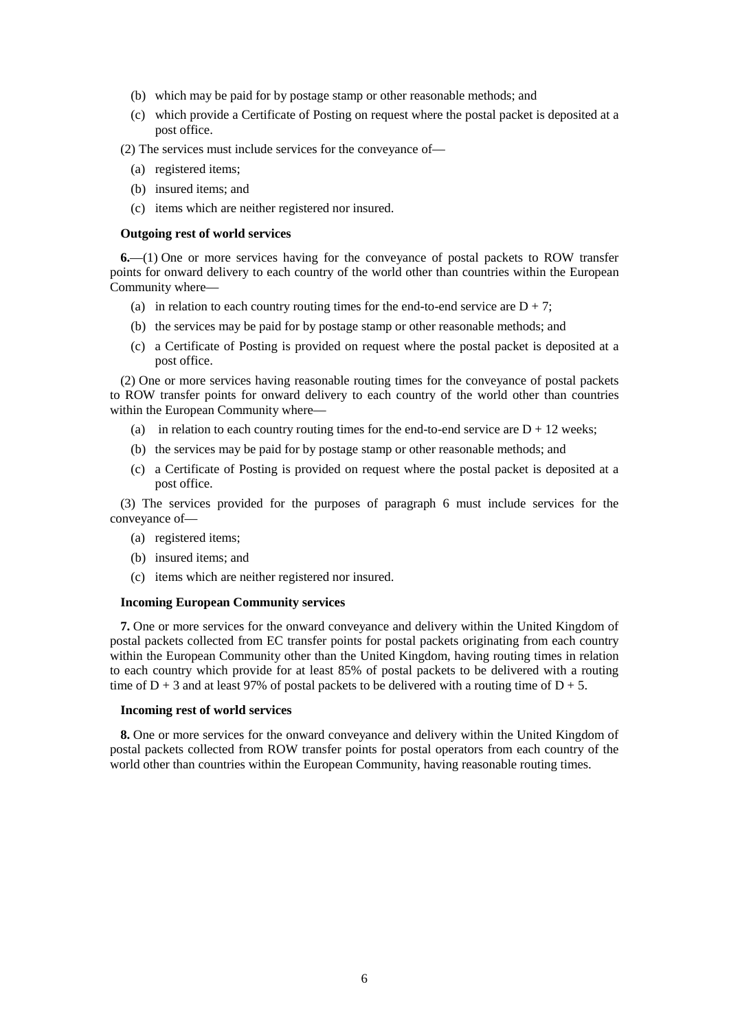- (b) which may be paid for by postage stamp or other reasonable methods; and
- (c) which provide a Certificate of Posting on request where the postal packet is deposited at a post office.
- (2) The services must include services for the conveyance of—
	- (a) registered items;
	- (b) insured items; and
	- (c) items which are neither registered nor insured.

#### **Outgoing rest of world services**

**6.**—(1) One or more services having for the conveyance of postal packets to ROW transfer points for onward delivery to each country of the world other than countries within the European Community where—

- (a) in relation to each country routing times for the end-to-end service are  $D + 7$ ;
- (b) the services may be paid for by postage stamp or other reasonable methods; and
- (c) a Certificate of Posting is provided on request where the postal packet is deposited at a post office.

(2) One or more services having reasonable routing times for the conveyance of postal packets to ROW transfer points for onward delivery to each country of the world other than countries within the European Community where—

- (a) in relation to each country routing times for the end-to-end service are  $D + 12$  weeks;
- (b) the services may be paid for by postage stamp or other reasonable methods; and
- (c) a Certificate of Posting is provided on request where the postal packet is deposited at a post office.

(3) The services provided for the purposes of paragraph 6 must include services for the conveyance of—

- (a) registered items;
- (b) insured items; and
- (c) items which are neither registered nor insured.

#### **Incoming European Community services**

**7.** One or more services for the onward conveyance and delivery within the United Kingdom of postal packets collected from EC transfer points for postal packets originating from each country within the European Community other than the United Kingdom, having routing times in relation to each country which provide for at least 85% of postal packets to be delivered with a routing time of  $D + 3$  and at least 97% of postal packets to be delivered with a routing time of  $D + 5$ .

## **Incoming rest of world services**

**8.** One or more services for the onward conveyance and delivery within the United Kingdom of postal packets collected from ROW transfer points for postal operators from each country of the world other than countries within the European Community, having reasonable routing times.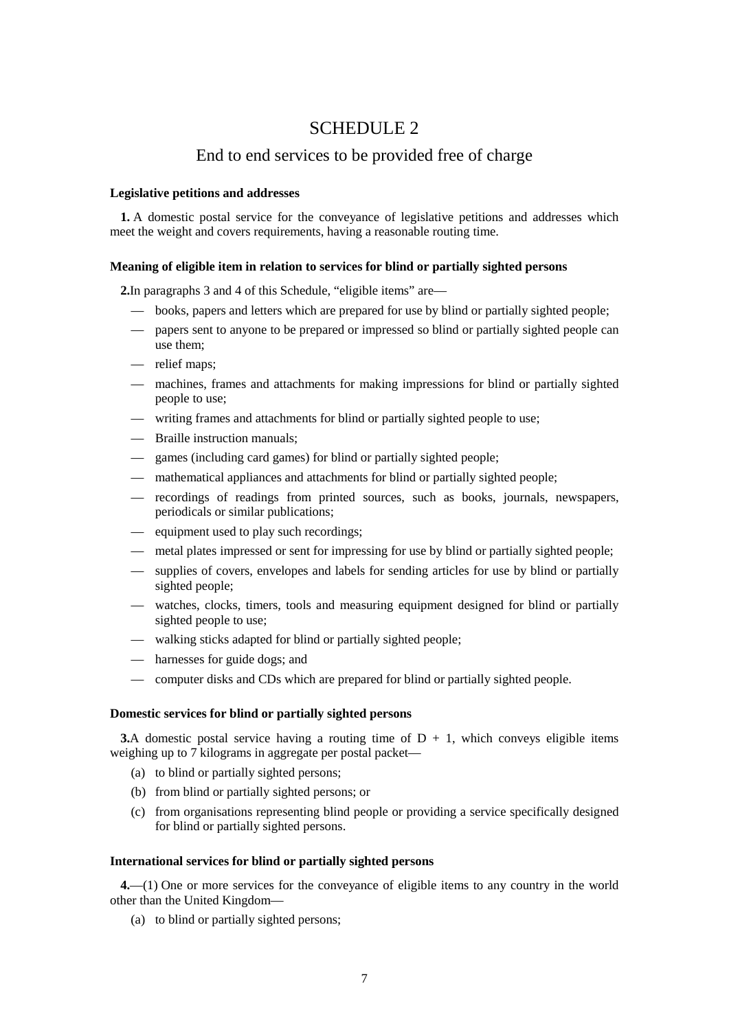## SCHEDULE 2

## End to end services to be provided free of charge

#### **Legislative petitions and addresses**

**1.** A domestic postal service for the conveyance of legislative petitions and addresses which meet the weight and covers requirements, having a reasonable routing time.

#### **Meaning of eligible item in relation to services for blind or partially sighted persons**

**2.**In paragraphs 3 and 4 of this Schedule, "eligible items" are—

- books, papers and letters which are prepared for use by blind or partially sighted people;
- papers sent to anyone to be prepared or impressed so blind or partially sighted people can use them;
- relief maps;
- machines, frames and attachments for making impressions for blind or partially sighted people to use;
- writing frames and attachments for blind or partially sighted people to use;
- Braille instruction manuals;
- games (including card games) for blind or partially sighted people;
- mathematical appliances and attachments for blind or partially sighted people;
- recordings of readings from printed sources, such as books, journals, newspapers, periodicals or similar publications;
- equipment used to play such recordings;
- metal plates impressed or sent for impressing for use by blind or partially sighted people;
- supplies of covers, envelopes and labels for sending articles for use by blind or partially sighted people;
- watches, clocks, timers, tools and measuring equipment designed for blind or partially sighted people to use;
- walking sticks adapted for blind or partially sighted people;
- harnesses for guide dogs; and
- computer disks and CDs which are prepared for blind or partially sighted people.

### **Domestic services for blind or partially sighted persons**

**3.**A domestic postal service having a routing time of  $D + 1$ , which conveys eligible items weighing up to 7 kilograms in aggregate per postal packet—

- (a) to blind or partially sighted persons;
- (b) from blind or partially sighted persons; or
- (c) from organisations representing blind people or providing a service specifically designed for blind or partially sighted persons.

#### **International services for blind or partially sighted persons**

**4.**—(1) One or more services for the conveyance of eligible items to any country in the world other than the United Kingdom—

(a) to blind or partially sighted persons;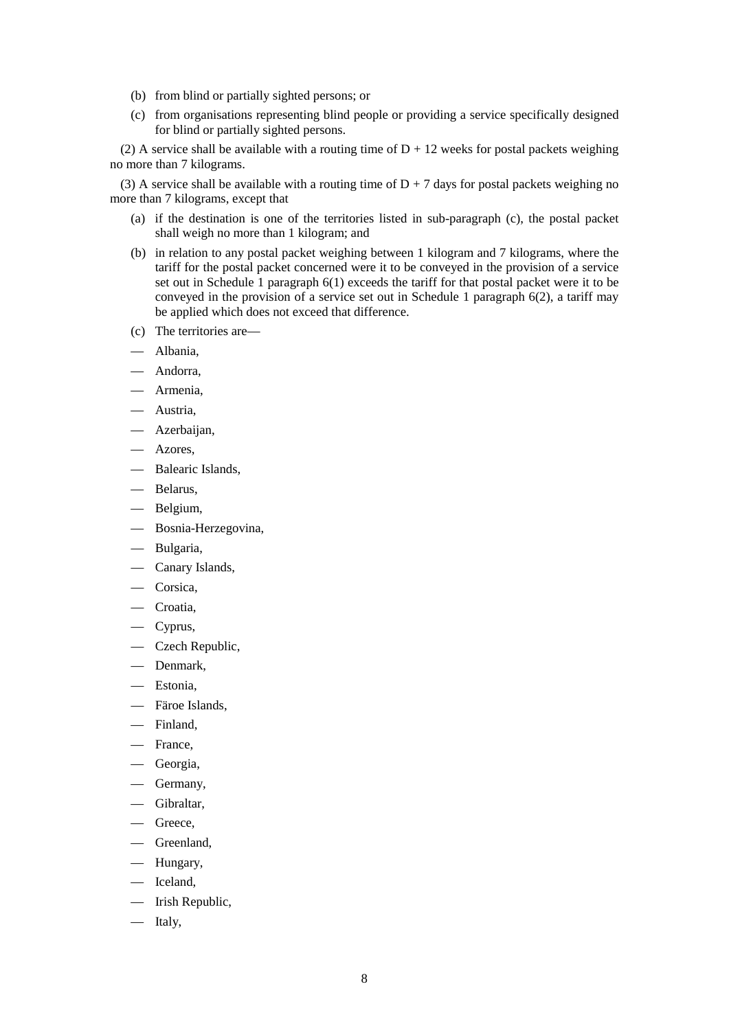- (b) from blind or partially sighted persons; or
- (c) from organisations representing blind people or providing a service specifically designed for blind or partially sighted persons.

(2) A service shall be available with a routing time of  $D + 12$  weeks for postal packets weighing no more than 7 kilograms.

(3) A service shall be available with a routing time of  $D + 7$  days for postal packets weighing no more than 7 kilograms, except that

- (a) if the destination is one of the territories listed in sub-paragraph (c), the postal packet shall weigh no more than 1 kilogram; and
- (b) in relation to any postal packet weighing between 1 kilogram and 7 kilograms, where the tariff for the postal packet concerned were it to be conveyed in the provision of a service set out in Schedule 1 paragraph 6(1) exceeds the tariff for that postal packet were it to be conveyed in the provision of a service set out in Schedule 1 paragraph 6(2), a tariff may be applied which does not exceed that difference.
- (c) The territories are—
- Albania,
- Andorra.
- Armenia,
- Austria,
- Azerbaijan,
- Azores,
- Balearic Islands,
- Belarus,
- Belgium,
- Bosnia-Herzegovina,
- Bulgaria,
- Canary Islands,
- Corsica,
- Croatia,
- Cyprus,
- Czech Republic,
- Denmark,
- Estonia,
- Färoe Islands,
- Finland,
- France,
- Georgia,
- Germany,
- Gibraltar,
- Greece,
- Greenland,
- Hungary,
- Iceland,
- Irish Republic,
- Italy,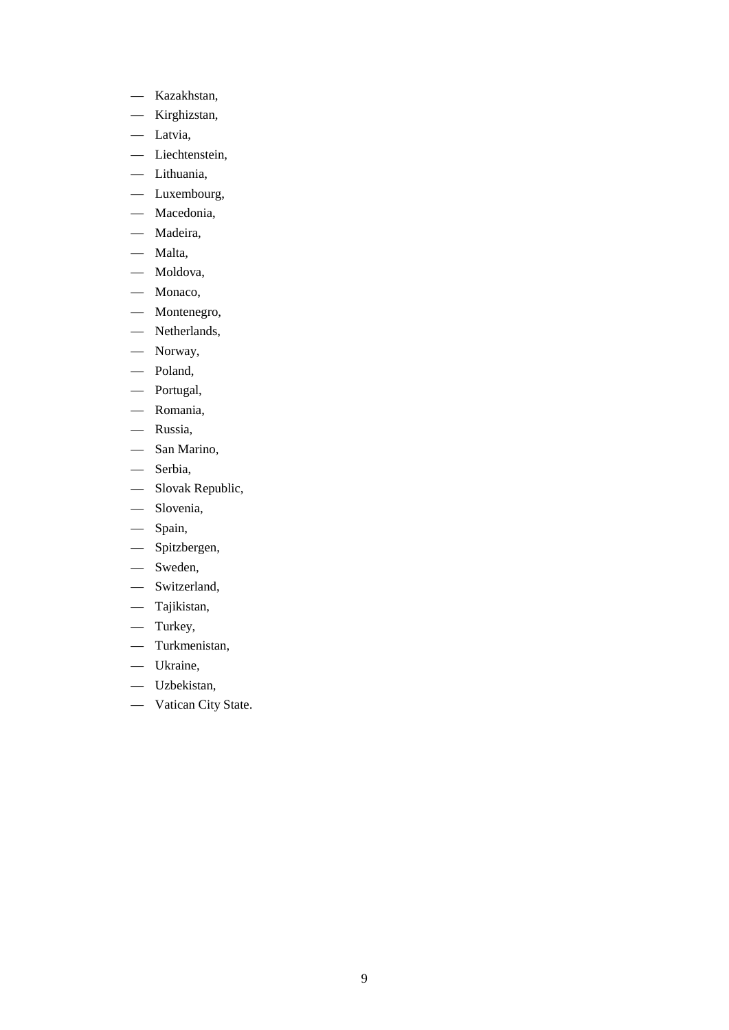- Kazakhstan,
- Kirghizstan,
- Latvia,
- Liechtenstein,
- Lithuania,
- Luxembourg,
- Macedonia,
- Madeira,
- Malta,
- Moldova,
- Monaco,
- Montenegro,
- Netherlands,
- Norway,
- Poland,
- Portugal,
- Romania,
- Russia,
- San Marino,
- Serbia,
- Slovak Republic,
- Slovenia,
- Spain,
- Spitzbergen,
- Sweden,
- Switzerland,
- Tajikistan,
- Turkey,
- Turkmenistan,
- Ukraine,
- Uzbekistan,
- Vatican City State.